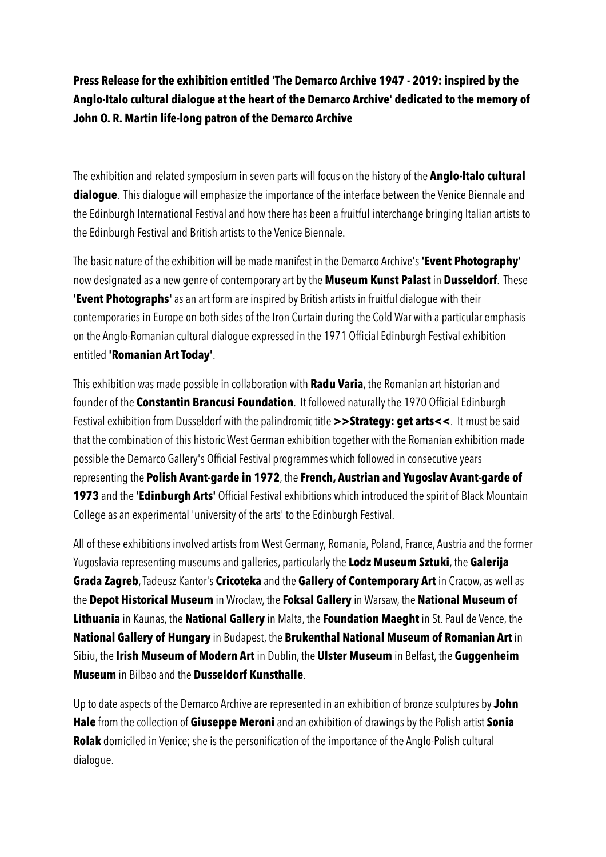**Press Release for the exhibition entitled 'The Demarco Archive 1947 - 2019: inspired by the Anglo-Italo cultural dialogue at the heart of the Demarco Archive' dedicated to the memory of John O. R. Martin life-long patron of the Demarco Archive** 

The exhibition and related symposium in seven parts will focus on the history of the **Anglo-Italo cultural dialogue**. This dialogue will emphasize the importance of the interface between the Venice Biennale and the Edinburgh International Festival and how there has been a fruitful interchange bringing Italian artists to the Edinburgh Festival and British artists to the Venice Biennale.

The basic nature of the exhibition will be made manifest in the Demarco Archive's **'Event Photography'**  now designated as a new genre of contemporary art by the **Museum Kunst Palast** in **Dusseldorf**. These **'Event Photographs'** as an art form are inspired by British artists in fruitful dialogue with their contemporaries in Europe on both sides of the Iron Curtain during the Cold War with a particular emphasis on the Anglo-Romanian cultural dialogue expressed in the 1971 Official Edinburgh Festival exhibition entitled **'Romanian Art Today'**.

This exhibition was made possible in collaboration with **Radu Varia**, the Romanian art historian and founder of the **Constantin Brancusi Foundation**. It followed naturally the 1970 Official Edinburgh Festival exhibition from Dusseldorf with the palindromic title **>>Strategy: get arts<<**. It must be said that the combination of this historic West German exhibition together with the Romanian exhibition made possible the Demarco Gallery's Official Festival programmes which followed in consecutive years representing the **Polish Avant-garde in 1972**, the **French, Austrian and Yugoslav Avant-garde of 1973** and the **'Edinburgh Arts'** Official Festival exhibitions which introduced the spirit of Black Mountain College as an experimental 'university of the arts' to the Edinburgh Festival.

All of these exhibitions involved artists from West Germany, Romania, Poland, France, Austria and the former Yugoslavia representing museums and galleries, particularly the **Lodz Museum Sztuki**, the **Galerija Grada Zagreb**, Tadeusz Kantor's **Cricoteka** and the **Gallery of Contemporary Art** in Cracow, as well as the **Depot Historical Museum** in Wroclaw, the **Foksal Gallery** in Warsaw, the **National Museum of Lithuania** in Kaunas, the **National Gallery** in Malta, the **Foundation Maeght** in St. Paul de Vence, the **National Gallery of Hungary** in Budapest, the **Brukenthal National Museum of Romanian Art** in Sibiu, the **Irish Museum of Modern Art** in Dublin, the **Ulster Museum** in Belfast, the **Guggenheim Museum** in Bilbao and the **Dusseldorf Kunsthalle**.

Up to date aspects of the Demarco Archive are represented in an exhibition of bronze sculptures by **John Hale** from the collection of **Giuseppe Meroni** and an exhibition of drawings by the Polish artist **Sonia Rolak** domiciled in Venice; she is the personification of the importance of the Anglo-Polish cultural dialogue.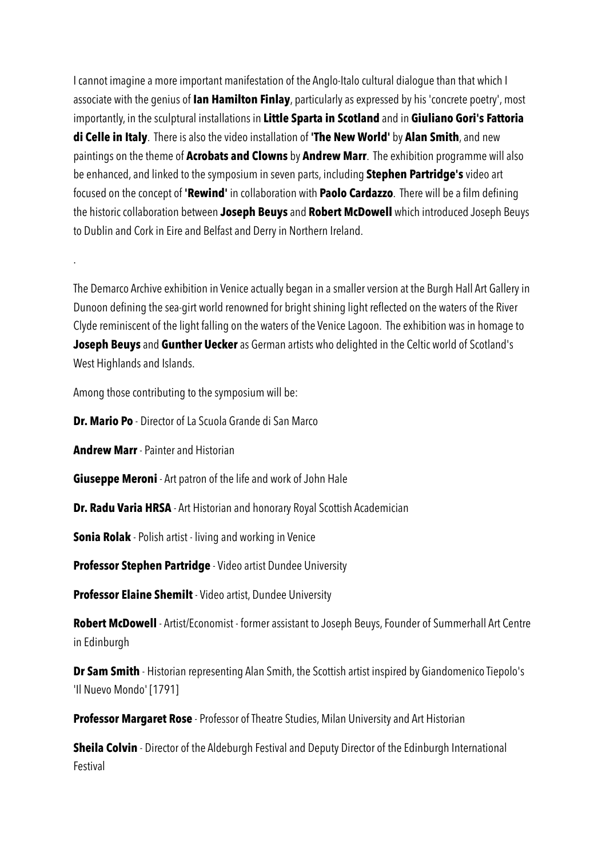I cannot imagine a more important manifestation of the Anglo-Italo cultural dialogue than that which I associate with the genius of **Ian Hamilton Finlay**, particularly as expressed by his 'concrete poetry', most importantly, in the sculptural installations in **Little Sparta in Scotland** and in **Giuliano Gori's Fattoria di Celle in Italy**. There is also the video installation of **'The New World'** by **Alan Smith**, and new paintings on the theme of **Acrobats and Clowns** by **Andrew Marr**. The exhibition programme will also be enhanced, and linked to the symposium in seven parts, including **Stephen Partridge's** video art focused on the concept of **'Rewind'** in collaboration with **Paolo Cardazzo**. There will be a film defining the historic collaboration between **Joseph Beuys** and **Robert McDowell** which introduced Joseph Beuys to Dublin and Cork in Eire and Belfast and Derry in Northern Ireland.

The Demarco Archive exhibition in Venice actually began in a smaller version at the Burgh Hall Art Gallery in Dunoon defining the sea-girt world renowned for bright shining light reflected on the waters of the River Clyde reminiscent of the light falling on the waters of the Venice Lagoon. The exhibition was in homage to **Joseph Beuys** and **Gunther Uecker** as German artists who delighted in the Celtic world of Scotland's West Highlands and Islands.

Among those contributing to the symposium will be:

**Dr. Mario Po** - Director of La Scuola Grande di San Marco

**Andrew Marr** - Painter and Historian

.

**Giuseppe Meroni** - Art patron of the life and work of John Hale

**Dr. Radu Varia HRSA** - Art Historian and honorary Royal Scottish Academician

**Sonia Rolak** - Polish artist - living and working in Venice

**Professor Stephen Partridge** - Video artist Dundee University

**Professor Elaine Shemilt** - Video artist, Dundee University

**Robert McDowell** - Artist/Economist - former assistant to Joseph Beuys, Founder of Summerhall Art Centre in Edinburgh

**Dr Sam Smith** - Historian representing Alan Smith, the Scottish artist inspired by Giandomenico Tiepolo's 'Il Nuevo Mondo' [1791]

**Professor Margaret Rose** - Professor of Theatre Studies, Milan University and Art Historian

**Sheila Colvin** - Director of the Aldeburgh Festival and Deputy Director of the Edinburgh International Festival